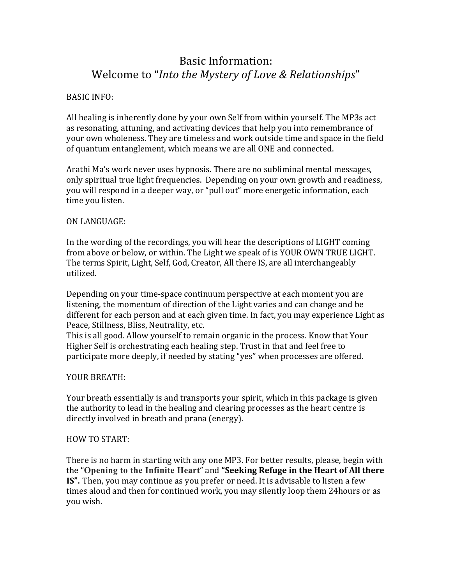# Basic Information: Welcome to "*Into the Mystery of Love & Relationships*"

# **BASIC INFO:**

All healing is inherently done by your own Self from within yourself. The MP3s act as resonating, attuning, and activating devices that help you into remembrance of your own wholeness. They are timeless and work outside time and space in the field of quantum entanglement, which means we are all ONE and connected.

Arathi Ma's work never uses hypnosis. There are no subliminal mental messages, only spiritual true light frequencies. Depending on your own growth and readiness, you will respond in a deeper way, or "pull out" more energetic information, each time you listen.

## ON LANGUAGE:

In the wording of the recordings, you will hear the descriptions of LIGHT coming from above or below, or within. The Light we speak of is YOUR OWN TRUE LIGHT. The terms Spirit, Light, Self, God, Creator, All there IS, are all interchangeably utilized.

Depending on your time-space continuum perspective at each moment you are listening, the momentum of direction of the Light varies and can change and be different for each person and at each given time. In fact, you may experience Light as Peace, Stillness, Bliss, Neutrality, etc.

This is all good. Allow yourself to remain organic in the process. Know that Your Higher Self is orchestrating each healing step. Trust in that and feel free to participate more deeply, if needed by stating "yes" when processes are offered.

# YOUR BREATH:

Your breath essentially is and transports your spirit, which in this package is given the authority to lead in the healing and clearing processes as the heart centre is directly involved in breath and prana (energy).

#### HOW TO START:

There is no harm in starting with any one MP3. For better results, please, begin with the "Opening to the Infinite Heart" and "Seeking Refuge in the Heart of All there **IS".** Then, you may continue as you prefer or need. It is advisable to listen a few times aloud and then for continued work, you may silently loop them 24hours or as you wish.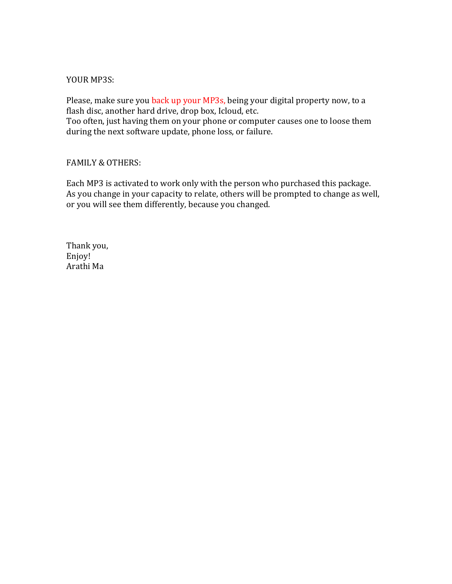## YOUR MP3S:

Please, make sure you back up your MP3s, being your digital property now, to a flash disc, another hard drive, drop box, Icloud, etc.

Too often, just having them on your phone or computer causes one to loose them during the next software update, phone loss, or failure.

## FAMILY & OTHERS:

Each MP3 is activated to work only with the person who purchased this package. As you change in your capacity to relate, others will be prompted to change as well, or you will see them differently, because you changed.

Thank you, Enjoy! Arathi Ma